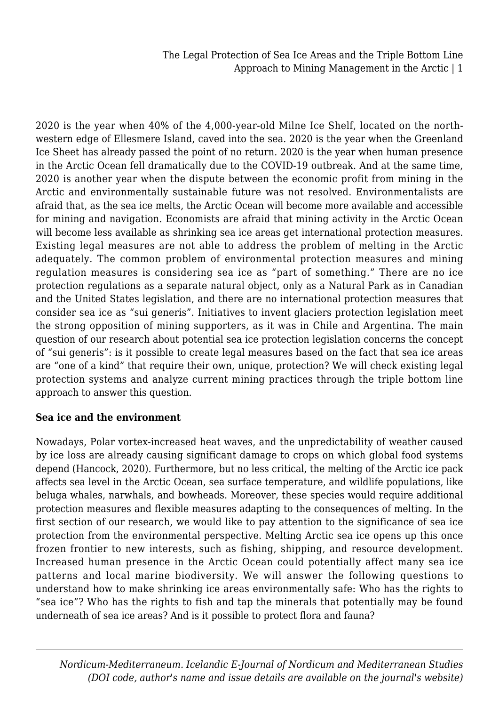2020 is the year when 40% of the 4,000-year-old Milne Ice Shelf, located on the northwestern edge of Ellesmere Island, caved into the sea. 2020 is the year when the Greenland Ice Sheet has already passed the point of no return. 2020 is the year when human presence in the Arctic Ocean fell dramatically due to the COVID-19 outbreak. And at the same time, 2020 is another year when the dispute between the economic profit from mining in the Arctic and environmentally sustainable future was not resolved. Environmentalists are afraid that, as the sea ice melts, the Arctic Ocean will become more available and accessible for mining and navigation. Economists are afraid that mining activity in the Arctic Ocean will become less available as shrinking sea ice areas get international protection measures. Existing legal measures are not able to address the problem of melting in the Arctic adequately. The common problem of environmental protection measures and mining regulation measures is considering sea ice as "part of something." There are no ice protection regulations as a separate natural object, only as a Natural Park as in Canadian and the United States legislation, and there are no international protection measures that consider sea ice as "sui generis". Initiatives to invent glaciers protection legislation meet the strong opposition of mining supporters, as it was in Chile and Argentina. The main question of our research about potential sea ice protection legislation concerns the concept of "sui generis": is it possible to create legal measures based on the fact that sea ice areas are "one of a kind" that require their own, unique, protection? We will check existing legal protection systems and analyze current mining practices through the triple bottom line approach to answer this question.

#### **Sea ice and the environment**

Nowadays, Polar vortex-increased heat waves, and the unpredictability of weather caused by ice loss are already causing significant damage to crops on which global food systems depend (Hancock, 2020). Furthermore, but no less critical, the melting of the Arctic ice pack affects sea level in the Arctic Ocean, sea surface temperature, and wildlife populations, like beluga whales, narwhals, and bowheads. Moreover, these species would require additional protection measures and flexible measures adapting to the consequences of melting. In the first section of our research, we would like to pay attention to the significance of sea ice protection from the environmental perspective. Melting Arctic sea ice opens up this once frozen frontier to new interests, such as fishing, shipping, and resource development. Increased human presence in the Arctic Ocean could potentially affect many sea ice patterns and local marine biodiversity. We will answer the following questions to understand how to make shrinking ice areas environmentally safe: Who has the rights to "sea ice"? Who has the rights to fish and tap the minerals that potentially may be found underneath of sea ice areas? And is it possible to protect flora and fauna?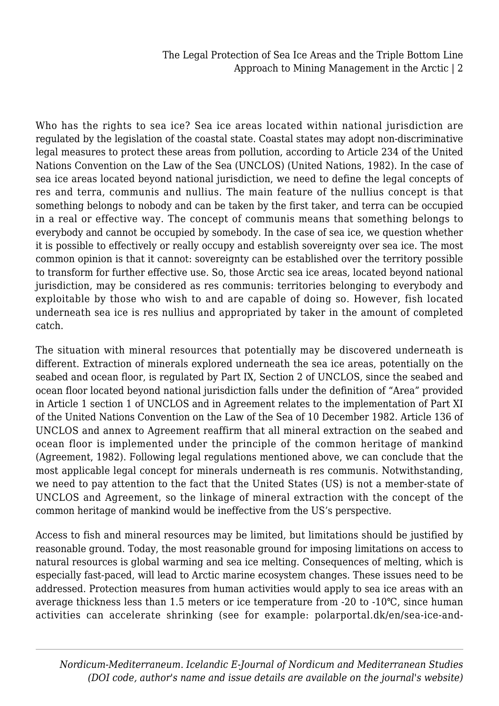Who has the rights to sea ice? Sea ice areas located within national jurisdiction are regulated by the legislation of the coastal state. Coastal states may adopt non-discriminative legal measures to protect these areas from pollution, according to Article 234 of the United Nations Convention on the Law of the Sea (UNCLOS) (United Nations, 1982). In the case of sea ice areas located beyond national jurisdiction, we need to define the legal concepts of res and terra, communis and nullius. The main feature of the nullius concept is that something belongs to nobody and can be taken by the first taker, and terra can be occupied in a real or effective way. The concept of communis means that something belongs to everybody and cannot be occupied by somebody. In the case of sea ice, we question whether it is possible to effectively or really occupy and establish sovereignty over sea ice. The most common opinion is that it cannot: sovereignty can be established over the territory possible to transform for further effective use. So, those Arctic sea ice areas, located beyond national jurisdiction, may be considered as res communis: territories belonging to everybody and exploitable by those who wish to and are capable of doing so. However, fish located underneath sea ice is res nullius and appropriated by taker in the amount of completed catch.

The situation with mineral resources that potentially may be discovered underneath is different. Extraction of minerals explored underneath the sea ice areas, potentially on the seabed and ocean floor, is regulated by Part IX, Section 2 of UNCLOS, since the seabed and ocean floor located beyond national jurisdiction falls under the definition of "Area" provided in Article 1 section 1 of UNCLOS and in Agreement relates to the implementation of Part XI of the United Nations Convention on the Law of the Sea of 10 December 1982. Article 136 of UNCLOS and annex to Agreement reaffirm that all mineral extraction on the seabed and ocean floor is implemented under the principle of the common heritage of mankind (Agreement, 1982). Following legal regulations mentioned above, we can conclude that the most applicable legal concept for minerals underneath is res communis. Notwithstanding, we need to pay attention to the fact that the United States (US) is not a member-state of UNCLOS and Agreement, so the linkage of mineral extraction with the concept of the common heritage of mankind would be ineffective from the US's perspective.

Access to fish and mineral resources may be limited, but limitations should be justified by reasonable ground. Today, the most reasonable ground for imposing limitations on access to natural resources is global warming and sea ice melting. Consequences of melting, which is especially fast-paced, will lead to Arctic marine ecosystem changes. These issues need to be addressed. Protection measures from human activities would apply to sea ice areas with an average thickness less than 1.5 meters or ice temperature from -20 to -10℃, since human activities can accelerate shrinking (see for example: polarportal.dk/en/sea-ice-and-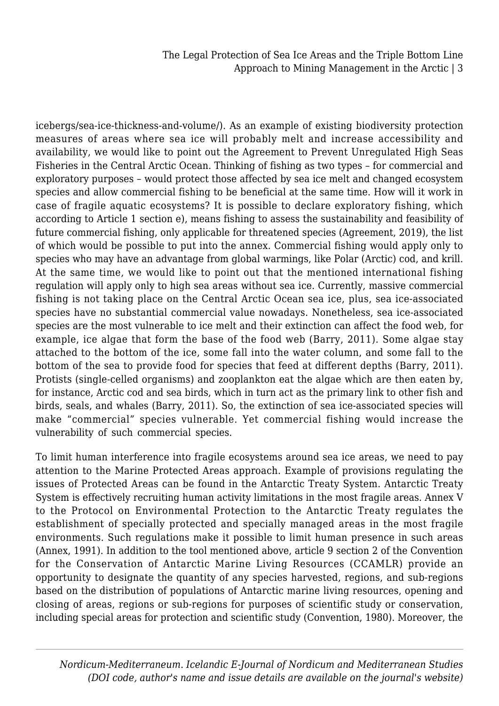icebergs/sea-ice-thickness-and-volume/). As an example of existing biodiversity protection measures of areas where sea ice will probably melt and increase accessibility and availability, we would like to point out the Agreement to Prevent Unregulated High Seas Fisheries in the Central Arctic Ocean. Thinking of fishing as two types – for commercial and exploratory purposes – would protect those affected by sea ice melt and changed ecosystem species and allow commercial fishing to be beneficial at the same time. How will it work in case of fragile aquatic ecosystems? It is possible to declare exploratory fishing, which according to Article 1 section e), means fishing to assess the sustainability and feasibility of future commercial fishing, only applicable for threatened species (Agreement, 2019), the list of which would be possible to put into the annex. Commercial fishing would apply only to species who may have an advantage from global warmings, like Polar (Arctic) cod, and krill. At the same time, we would like to point out that the mentioned international fishing regulation will apply only to high sea areas without sea ice. Currently, massive commercial fishing is not taking place on the Central Arctic Ocean sea ice, plus, sea ice-associated species have no substantial commercial value nowadays. Nonetheless, sea ice-associated species are the most vulnerable to ice melt and their extinction can affect the food web, for example, ice algae that form the base of the food web (Barry, 2011). Some algae stay attached to the bottom of the ice, some fall into the water column, and some fall to the bottom of the sea to provide food for species that feed at different depths (Barry, 2011). Protists (single-celled organisms) and zooplankton eat the algae which are then eaten by, for instance, Arctic cod and sea birds, which in turn act as the primary link to other fish and birds, seals, and whales (Barry, 2011). So, the extinction of sea ice-associated species will make "commercial" species vulnerable. Yet commercial fishing would increase the vulnerability of such commercial species.

To limit human interference into fragile ecosystems around sea ice areas, we need to pay attention to the Marine Protected Areas approach. Example of provisions regulating the issues of Protected Areas can be found in the Antarctic Treaty System. Antarctic Treaty System is effectively recruiting human activity limitations in the most fragile areas. Annex V to the Protocol on Environmental Protection to the Antarctic Treaty regulates the establishment of specially protected and specially managed areas in the most fragile environments. Such regulations make it possible to limit human presence in such areas (Annex, 1991). In addition to the tool mentioned above, article 9 section 2 of the Convention for the Conservation of Antarctic Marine Living Resources (CCAMLR) provide an opportunity to designate the quantity of any species harvested, regions, and sub-regions based on the distribution of populations of Antarctic marine living resources, opening and closing of areas, regions or sub-regions for purposes of scientific study or conservation, including special areas for protection and scientific study (Convention, 1980). Moreover, the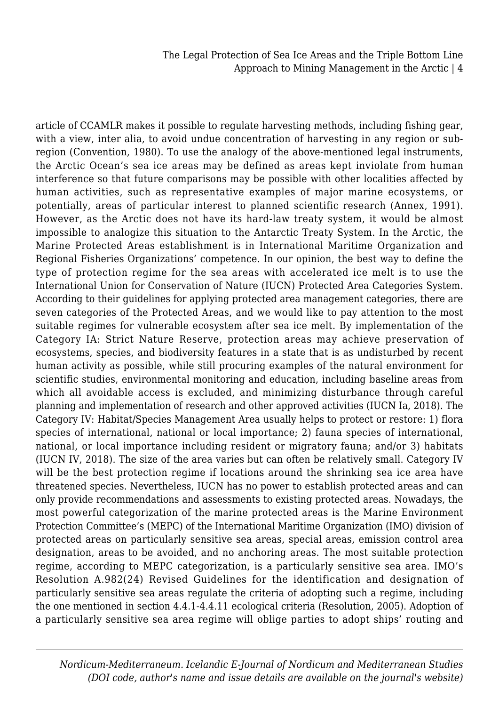article of CCAMLR makes it possible to regulate harvesting methods, including fishing gear, with a view, inter alia, to avoid undue concentration of harvesting in any region or subregion (Convention, 1980). To use the analogy of the above-mentioned legal instruments, the Arctic Ocean's sea ice areas may be defined as areas kept inviolate from human interference so that future comparisons may be possible with other localities affected by human activities, such as representative examples of major marine ecosystems, or potentially, areas of particular interest to planned scientific research (Annex, 1991). However, as the Arctic does not have its hard-law treaty system, it would be almost impossible to analogize this situation to the Antarctic Treaty System. In the Arctic, the Marine Protected Areas establishment is in International Maritime Organization and Regional Fisheries Organizations' competence. In our opinion, the best way to define the type of protection regime for the sea areas with accelerated ice melt is to use the International Union for Conservation of Nature (IUCN) Protected Area Categories System. According to their guidelines for applying protected area management categories, there are seven categories of the Protected Areas, and we would like to pay attention to the most suitable regimes for vulnerable ecosystem after sea ice melt. By implementation of the Category IA: Strict Nature Reserve, protection areas may achieve preservation of ecosystems, species, and biodiversity features in a state that is as undisturbed by recent human activity as possible, while still procuring examples of the natural environment for scientific studies, environmental monitoring and education, including baseline areas from which all avoidable access is excluded, and minimizing disturbance through careful planning and implementation of research and other approved activities (IUCN Ia, 2018). The Category IV: Habitat/Species Management Area usually helps to protect or restore: 1) flora species of international, national or local importance; 2) fauna species of international, national, or local importance including resident or migratory fauna; and/or 3) habitats (IUCN IV, 2018). The size of the area varies but can often be relatively small. Category IV will be the best protection regime if locations around the shrinking sea ice area have threatened species. Nevertheless, IUCN has no power to establish protected areas and can only provide recommendations and assessments to existing protected areas. Nowadays, the most powerful categorization of the marine protected areas is the Marine Environment Protection Committee's (MEPC) of the International Maritime Organization (IMO) division of protected areas on particularly sensitive sea areas, special areas, emission control area designation, areas to be avoided, and no anchoring areas. The most suitable protection regime, according to MEPC categorization, is a particularly sensitive sea area. IMO's Resolution A.982(24) Revised Guidelines for the identification and designation of particularly sensitive sea areas regulate the criteria of adopting such a regime, including the one mentioned in section 4.4.1-4.4.11 ecological criteria (Resolution, 2005). Adoption of a particularly sensitive sea area regime will oblige parties to adopt ships' routing and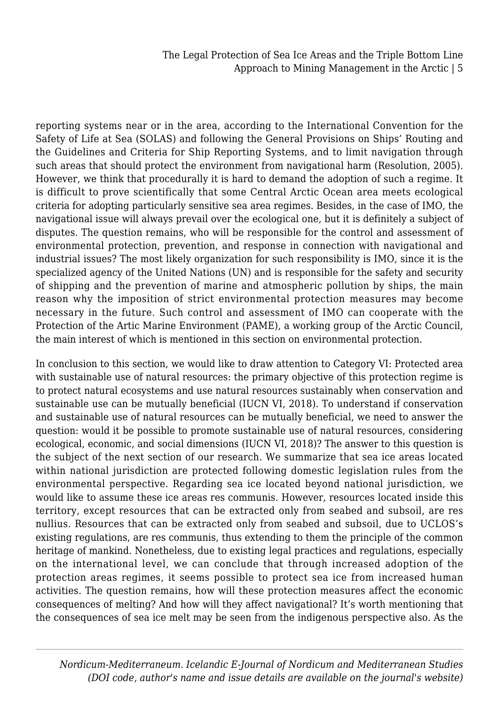reporting systems near or in the area, according to the International Convention for the Safety of Life at Sea (SOLAS) and following the General Provisions on Ships' Routing and the Guidelines and Criteria for Ship Reporting Systems, and to limit navigation through such areas that should protect the environment from navigational harm (Resolution, 2005). However, we think that procedurally it is hard to demand the adoption of such a regime. It is difficult to prove scientifically that some Central Arctic Ocean area meets ecological criteria for adopting particularly sensitive sea area regimes. Besides, in the case of IMO, the navigational issue will always prevail over the ecological one, but it is definitely a subject of disputes. The question remains, who will be responsible for the control and assessment of environmental protection, prevention, and response in connection with navigational and industrial issues? The most likely organization for such responsibility is IMO, since it is the specialized agency of the United Nations (UN) and is responsible for the safety and security of shipping and the prevention of marine and atmospheric pollution by ships, the main reason why the imposition of strict environmental protection measures may become necessary in the future. Such control and assessment of IMO can cooperate with the Protection of the Artic Marine Environment (PAME), a working group of the Arctic Council, the main interest of which is mentioned in this section on environmental protection.

In conclusion to this section, we would like to draw attention to Category VI: Protected area with sustainable use of natural resources: the primary objective of this protection regime is to protect natural ecosystems and use natural resources sustainably when conservation and sustainable use can be mutually beneficial (IUCN VI, 2018). To understand if conservation and sustainable use of natural resources can be mutually beneficial, we need to answer the question: would it be possible to promote sustainable use of natural resources, considering ecological, economic, and social dimensions (IUCN VI, 2018)? The answer to this question is the subject of the next section of our research. We summarize that sea ice areas located within national jurisdiction are protected following domestic legislation rules from the environmental perspective. Regarding sea ice located beyond national jurisdiction, we would like to assume these ice areas res communis. However, resources located inside this territory, except resources that can be extracted only from seabed and subsoil, are res nullius. Resources that can be extracted only from seabed and subsoil, due to UCLOS's existing regulations, are res communis, thus extending to them the principle of the common heritage of mankind. Nonetheless, due to existing legal practices and regulations, especially on the international level, we can conclude that through increased adoption of the protection areas regimes, it seems possible to protect sea ice from increased human activities. The question remains, how will these protection measures affect the economic consequences of melting? And how will they affect navigational? It's worth mentioning that the consequences of sea ice melt may be seen from the indigenous perspective also. As the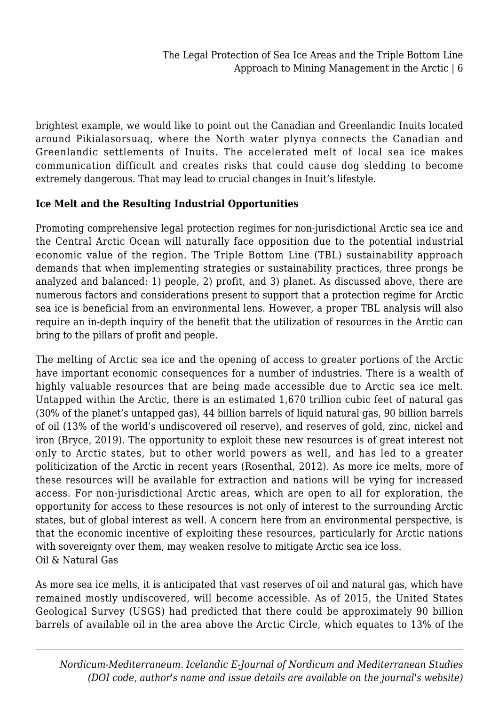brightest example, we would like to point out the Canadian and Greenlandic Inuits located around Pikialasorsuaq, where the North water plynya connects the Canadian and Greenlandic settlements of Inuits. The accelerated melt of local sea ice makes communication difficult and creates risks that could cause dog sledding to become extremely dangerous. That may lead to crucial changes in Inuit's lifestyle.

## **Ice Melt and the Resulting Industrial Opportunities**

Promoting comprehensive legal protection regimes for non-jurisdictional Arctic sea ice and the Central Arctic Ocean will naturally face opposition due to the potential industrial economic value of the region. The Triple Bottom Line (TBL) sustainability approach demands that when implementing strategies or sustainability practices, three prongs be analyzed and balanced: 1) people, 2) profit, and 3) planet. As discussed above, there are numerous factors and considerations present to support that a protection regime for Arctic sea ice is beneficial from an environmental lens. However, a proper TBL analysis will also require an in-depth inquiry of the benefit that the utilization of resources in the Arctic can bring to the pillars of profit and people.

The melting of Arctic sea ice and the opening of access to greater portions of the Arctic have important economic consequences for a number of industries. There is a wealth of highly valuable resources that are being made accessible due to Arctic sea ice melt. Untapped within the Arctic, there is an estimated 1,670 trillion cubic feet of natural gas (30% of the planet's untapped gas), 44 billion barrels of liquid natural gas, 90 billion barrels of oil (13% of the world's undiscovered oil reserve), and reserves of gold, zinc, nickel and iron (Bryce, 2019). The opportunity to exploit these new resources is of great interest not only to Arctic states, but to other world powers as well, and has led to a greater politicization of the Arctic in recent years (Rosenthal, 2012). As more ice melts, more of these resources will be available for extraction and nations will be vying for increased access. For non-jurisdictional Arctic areas, which are open to all for exploration, the opportunity for access to these resources is not only of interest to the surrounding Arctic states, but of global interest as well. A concern here from an environmental perspective, is that the economic incentive of exploiting these resources, particularly for Arctic nations with sovereignty over them, may weaken resolve to mitigate Arctic sea ice loss. Oil & Natural Gas

As more sea ice melts, it is anticipated that vast reserves of oil and natural gas, which have remained mostly undiscovered, will become accessible. As of 2015, the United States Geological Survey (USGS) had predicted that there could be approximately 90 billion barrels of available oil in the area above the Arctic Circle, which equates to 13% of the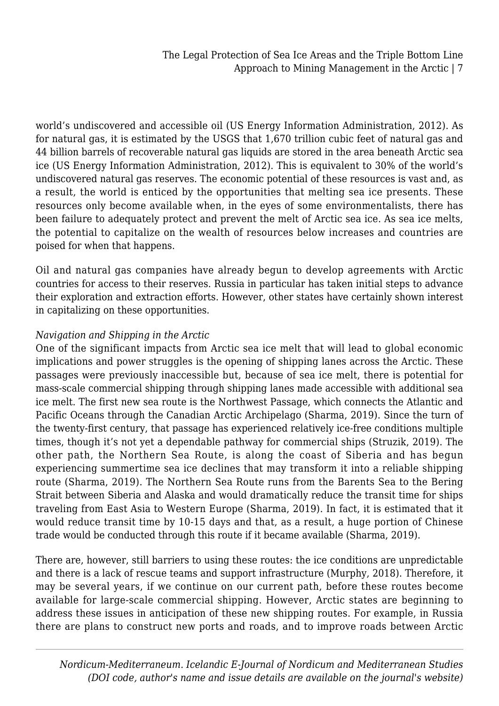world's undiscovered and accessible oil (US Energy Information Administration, 2012). As for natural gas, it is estimated by the USGS that 1,670 trillion cubic feet of natural gas and 44 billion barrels of recoverable natural gas liquids are stored in the area beneath Arctic sea ice (US Energy Information Administration, 2012). This is equivalent to 30% of the world's undiscovered natural gas reserves. The economic potential of these resources is vast and, as a result, the world is enticed by the opportunities that melting sea ice presents. These resources only become available when, in the eyes of some environmentalists, there has been failure to adequately protect and prevent the melt of Arctic sea ice. As sea ice melts, the potential to capitalize on the wealth of resources below increases and countries are poised for when that happens.

Oil and natural gas companies have already begun to develop agreements with Arctic countries for access to their reserves. Russia in particular has taken initial steps to advance their exploration and extraction efforts. However, other states have certainly shown interest in capitalizing on these opportunities.

## *Navigation and Shipping in the Arctic*

One of the significant impacts from Arctic sea ice melt that will lead to global economic implications and power struggles is the opening of shipping lanes across the Arctic. These passages were previously inaccessible but, because of sea ice melt, there is potential for mass-scale commercial shipping through shipping lanes made accessible with additional sea ice melt. The first new sea route is the Northwest Passage, which connects the Atlantic and Pacific Oceans through the Canadian Arctic Archipelago (Sharma, 2019). Since the turn of the twenty-first century, that passage has experienced relatively ice-free conditions multiple times, though it's not yet a dependable pathway for commercial ships (Struzik, 2019). The other path, the Northern Sea Route, is along the coast of Siberia and has begun experiencing summertime sea ice declines that may transform it into a reliable shipping route (Sharma, 2019). The Northern Sea Route runs from the Barents Sea to the Bering Strait between Siberia and Alaska and would dramatically reduce the transit time for ships traveling from East Asia to Western Europe (Sharma, 2019). In fact, it is estimated that it would reduce transit time by 10-15 days and that, as a result, a huge portion of Chinese trade would be conducted through this route if it became available (Sharma, 2019).

There are, however, still barriers to using these routes: the ice conditions are unpredictable and there is a lack of rescue teams and support infrastructure (Murphy, 2018). Therefore, it may be several years, if we continue on our current path, before these routes become available for large-scale commercial shipping. However, Arctic states are beginning to address these issues in anticipation of these new shipping routes. For example, in Russia there are plans to construct new ports and roads, and to improve roads between Arctic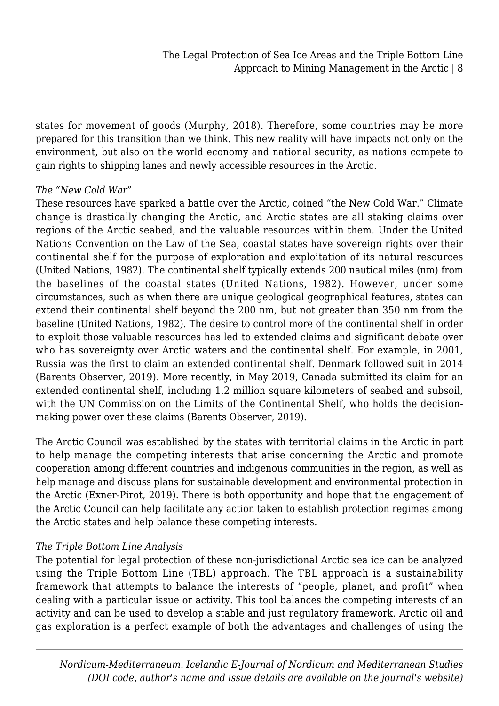states for movement of goods (Murphy, 2018). Therefore, some countries may be more prepared for this transition than we think. This new reality will have impacts not only on the environment, but also on the world economy and national security, as nations compete to gain rights to shipping lanes and newly accessible resources in the Arctic.

#### *The "New Cold War"*

These resources have sparked a battle over the Arctic, coined "the New Cold War." Climate change is drastically changing the Arctic, and Arctic states are all staking claims over regions of the Arctic seabed, and the valuable resources within them. Under the United Nations Convention on the Law of the Sea, coastal states have sovereign rights over their continental shelf for the purpose of exploration and exploitation of its natural resources (United Nations, 1982). The continental shelf typically extends 200 nautical miles (nm) from the baselines of the coastal states (United Nations, 1982). However, under some circumstances, such as when there are unique geological geographical features, states can extend their continental shelf beyond the 200 nm, but not greater than 350 nm from the baseline (United Nations, 1982). The desire to control more of the continental shelf in order to exploit those valuable resources has led to extended claims and significant debate over who has sovereignty over Arctic waters and the continental shelf. For example, in 2001, Russia was the first to claim an extended continental shelf. Denmark followed suit in 2014 (Barents Observer, 2019). More recently, in May 2019, Canada submitted its claim for an extended continental shelf, including 1.2 million square kilometers of seabed and subsoil, with the UN Commission on the Limits of the Continental Shelf, who holds the decisionmaking power over these claims (Barents Observer, 2019).

The Arctic Council was established by the states with territorial claims in the Arctic in part to help manage the competing interests that arise concerning the Arctic and promote cooperation among different countries and indigenous communities in the region, as well as help manage and discuss plans for sustainable development and environmental protection in the Arctic (Exner-Pirot, 2019). There is both opportunity and hope that the engagement of the Arctic Council can help facilitate any action taken to establish protection regimes among the Arctic states and help balance these competing interests.

#### *The Triple Bottom Line Analysis*

The potential for legal protection of these non-jurisdictional Arctic sea ice can be analyzed using the Triple Bottom Line (TBL) approach. The TBL approach is a sustainability framework that attempts to balance the interests of "people, planet, and profit" when dealing with a particular issue or activity. This tool balances the competing interests of an activity and can be used to develop a stable and just regulatory framework. Arctic oil and gas exploration is a perfect example of both the advantages and challenges of using the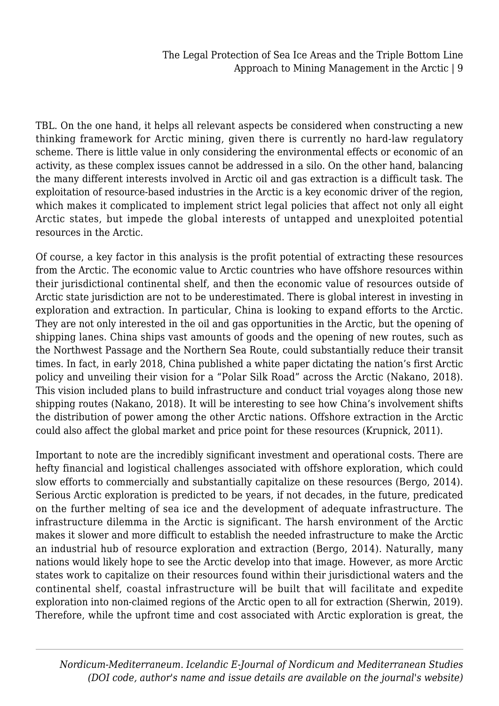TBL. On the one hand, it helps all relevant aspects be considered when constructing a new thinking framework for Arctic mining, given there is currently no hard-law regulatory scheme. There is little value in only considering the environmental effects or economic of an activity, as these complex issues cannot be addressed in a silo. On the other hand, balancing the many different interests involved in Arctic oil and gas extraction is a difficult task. The exploitation of resource-based industries in the Arctic is a key economic driver of the region, which makes it complicated to implement strict legal policies that affect not only all eight Arctic states, but impede the global interests of untapped and unexploited potential resources in the Arctic.

Of course, a key factor in this analysis is the profit potential of extracting these resources from the Arctic. The economic value to Arctic countries who have offshore resources within their jurisdictional continental shelf, and then the economic value of resources outside of Arctic state jurisdiction are not to be underestimated. There is global interest in investing in exploration and extraction. In particular, China is looking to expand efforts to the Arctic. They are not only interested in the oil and gas opportunities in the Arctic, but the opening of shipping lanes. China ships vast amounts of goods and the opening of new routes, such as the Northwest Passage and the Northern Sea Route, could substantially reduce their transit times. In fact, in early 2018, China published a white paper dictating the nation's first Arctic policy and unveiling their vision for a "Polar Silk Road" across the Arctic (Nakano, 2018). This vision included plans to build infrastructure and conduct trial voyages along those new shipping routes (Nakano, 2018). It will be interesting to see how China's involvement shifts the distribution of power among the other Arctic nations. Offshore extraction in the Arctic could also affect the global market and price point for these resources (Krupnick, 2011).

Important to note are the incredibly significant investment and operational costs. There are hefty financial and logistical challenges associated with offshore exploration, which could slow efforts to commercially and substantially capitalize on these resources (Bergo, 2014). Serious Arctic exploration is predicted to be years, if not decades, in the future, predicated on the further melting of sea ice and the development of adequate infrastructure. The infrastructure dilemma in the Arctic is significant. The harsh environment of the Arctic makes it slower and more difficult to establish the needed infrastructure to make the Arctic an industrial hub of resource exploration and extraction (Bergo, 2014). Naturally, many nations would likely hope to see the Arctic develop into that image. However, as more Arctic states work to capitalize on their resources found within their jurisdictional waters and the continental shelf, coastal infrastructure will be built that will facilitate and expedite exploration into non-claimed regions of the Arctic open to all for extraction (Sherwin, 2019). Therefore, while the upfront time and cost associated with Arctic exploration is great, the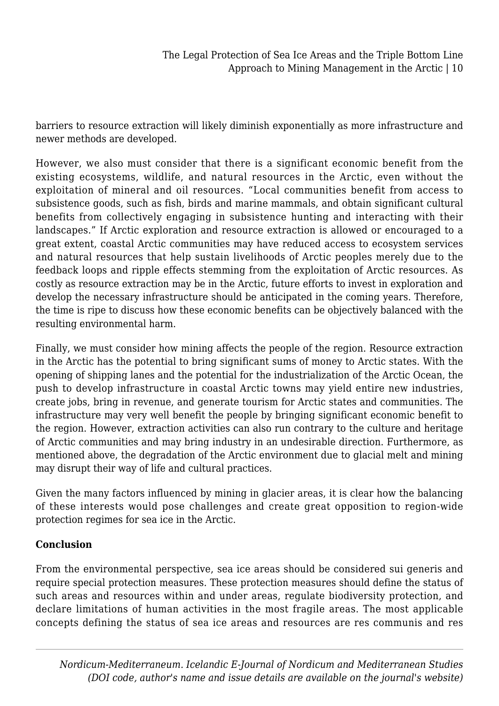barriers to resource extraction will likely diminish exponentially as more infrastructure and newer methods are developed.

However, we also must consider that there is a significant economic benefit from the existing ecosystems, wildlife, and natural resources in the Arctic, even without the exploitation of mineral and oil resources. "Local communities benefit from access to subsistence goods, such as fish, birds and marine mammals, and obtain significant cultural benefits from collectively engaging in subsistence hunting and interacting with their landscapes." If Arctic exploration and resource extraction is allowed or encouraged to a great extent, coastal Arctic communities may have reduced access to ecosystem services and natural resources that help sustain livelihoods of Arctic peoples merely due to the feedback loops and ripple effects stemming from the exploitation of Arctic resources. As costly as resource extraction may be in the Arctic, future efforts to invest in exploration and develop the necessary infrastructure should be anticipated in the coming years. Therefore, the time is ripe to discuss how these economic benefits can be objectively balanced with the resulting environmental harm.

Finally, we must consider how mining affects the people of the region. Resource extraction in the Arctic has the potential to bring significant sums of money to Arctic states. With the opening of shipping lanes and the potential for the industrialization of the Arctic Ocean, the push to develop infrastructure in coastal Arctic towns may yield entire new industries, create jobs, bring in revenue, and generate tourism for Arctic states and communities. The infrastructure may very well benefit the people by bringing significant economic benefit to the region. However, extraction activities can also run contrary to the culture and heritage of Arctic communities and may bring industry in an undesirable direction. Furthermore, as mentioned above, the degradation of the Arctic environment due to glacial melt and mining may disrupt their way of life and cultural practices.

Given the many factors influenced by mining in glacier areas, it is clear how the balancing of these interests would pose challenges and create great opposition to region-wide protection regimes for sea ice in the Arctic.

## **Conclusion**

From the environmental perspective, sea ice areas should be considered sui generis and require special protection measures. These protection measures should define the status of such areas and resources within and under areas, regulate biodiversity protection, and declare limitations of human activities in the most fragile areas. The most applicable concepts defining the status of sea ice areas and resources are res communis and res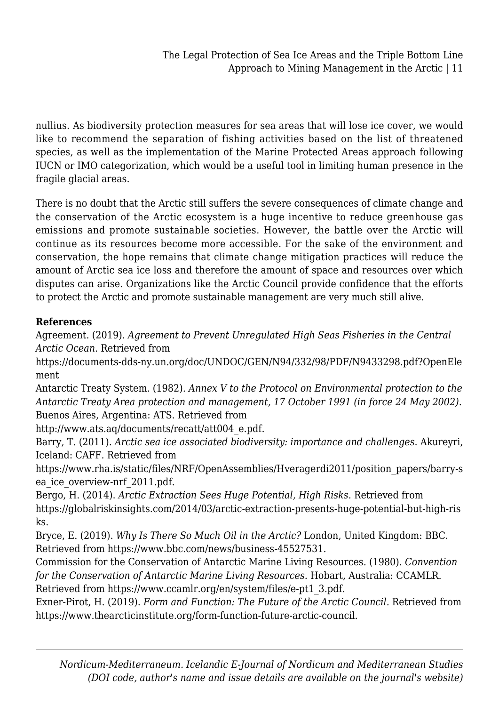nullius. As biodiversity protection measures for sea areas that will lose ice cover, we would like to recommend the separation of fishing activities based on the list of threatened species, as well as the implementation of the Marine Protected Areas approach following IUCN or IMO categorization, which would be a useful tool in limiting human presence in the fragile glacial areas.

There is no doubt that the Arctic still suffers the severe consequences of climate change and the conservation of the Arctic ecosystem is a huge incentive to reduce greenhouse gas emissions and promote sustainable societies. However, the battle over the Arctic will continue as its resources become more accessible. For the sake of the environment and conservation, the hope remains that climate change mitigation practices will reduce the amount of Arctic sea ice loss and therefore the amount of space and resources over which disputes can arise. Organizations like the Arctic Council provide confidence that the efforts to protect the Arctic and promote sustainable management are very much still alive.

## **References**

Agreement. (2019). *Agreement to Prevent Unregulated High Seas Fisheries in the Central Arctic Ocean*. Retrieved from

https://documents-dds-ny.un.org/doc/UNDOC/GEN/N94/332/98/PDF/N9433298.pdf?OpenEle ment

Antarctic Treaty System. (1982). *Annex V to the Protocol on Environmental protection to the Antarctic Treaty Area protection and management, 17 October 1991 (in force 24 May 2002)*. Buenos Aires, Argentina: ATS. Retrieved from

http://www.ats.aq/documents/recatt/att004\_e.pdf.

Barry, T. (2011). *Arctic sea ice associated biodiversity: importance and challenges*. Akureyri, Iceland: CAFF. Retrieved from

https://www.rha.is/static/files/NRF/OpenAssemblies/Hveragerdi2011/position\_papers/barry-s ea\_ice\_overview-nrf\_2011.pdf.

Bergo, H. (2014). *Arctic Extraction Sees Huge Potential, High Risks*. Retrieved from https://globalriskinsights.com/2014/03/arctic-extraction-presents-huge-potential-but-high-ris ks.

Bryce, E. (2019). *Why Is There So Much Oil in the Arctic?* London, United Kingdom: BBC. Retrieved from https://www.bbc.com/news/business-45527531.

Commission for the Conservation of Antarctic Marine Living Resources. (1980). *Convention for the Conservation of Antarctic Marine Living Resources.* Hobart, Australia: CCAMLR. Retrieved from https://www.ccamlr.org/en/system/files/e-pt1\_3.pdf.

Exner-Pirot, H. (2019). *Form and Function: The Future of the Arctic Council*. Retrieved from https://www.thearcticinstitute.org/form-function-future-arctic-council.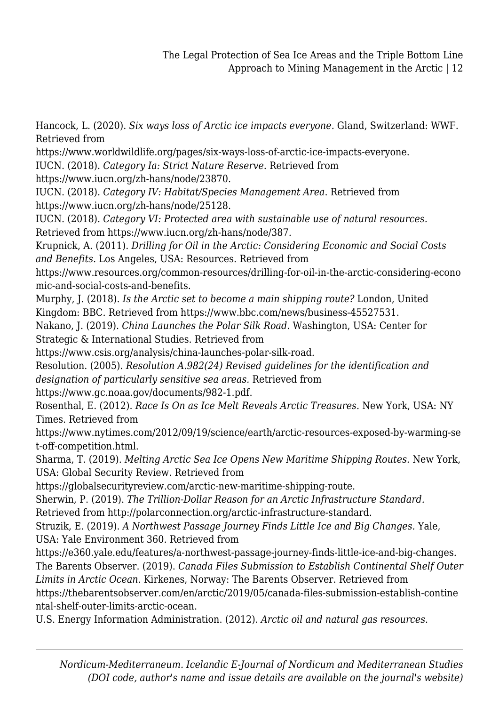Hancock, L. (2020). *Six ways loss of Arctic ice impacts everyone.* Gland, Switzerland: WWF. Retrieved from

https://www.worldwildlife.org/pages/six-ways-loss-of-arctic-ice-impacts-everyone.

IUCN. (2018). *Category Ia: Strict Nature Reserve*. Retrieved from

https://www.iucn.org/zh-hans/node/23870.

IUCN. (2018). *Category IV: Habitat/Species Management Area*. Retrieved from https://www.iucn.org/zh-hans/node/25128.

IUCN. (2018). *Category VI: Protected area with sustainable use of natural resources.* Retrieved from https://www.iucn.org/zh-hans/node/387.

Krupnick, A. (2011). *Drilling for Oil in the Arctic: Considering Economic and Social Costs and Benefits.* Los Angeles, USA: Resources. Retrieved from

https://www.resources.org/common-resources/drilling-for-oil-in-the-arctic-considering-econo mic-and-social-costs-and-benefits.

Murphy, J. (2018). *Is the Arctic set to become a main shipping route?* London, United Kingdom: BBC. Retrieved from https://www.bbc.com/news/business-45527531.

Nakano, J. (2019). *China Launches the Polar Silk Road.* Washington, USA: Center for Strategic & International Studies. Retrieved from

https://www.csis.org/analysis/china-launches-polar-silk-road.

Resolution. (2005). *Resolution A.982(24) Revised guidelines for the identification and designation of particularly sensitive sea areas.* Retrieved from

https://www.gc.noaa.gov/documents/982-1.pdf.

Rosenthal, E. (2012). *Race Is On as Ice Melt Reveals Arctic Treasures.* New York, USA: NY Times. Retrieved from

https://www.nytimes.com/2012/09/19/science/earth/arctic-resources-exposed-by-warming-se t-off-competition.html.

Sharma, T. (2019). *Melting Arctic Sea Ice Opens New Maritime Shipping Routes.* New York, USA: Global Security Review. Retrieved from

https://globalsecurityreview.com/arctic-new-maritime-shipping-route.

Sherwin, P. (2019). *The Trillion-Dollar Reason for an Arctic Infrastructure Standard.*

Retrieved from http://polarconnection.org/arctic-infrastructure-standard.

Struzik, E. (2019). *A Northwest Passage Journey Finds Little Ice and Big Changes.* Yale, USA: Yale Environment 360. Retrieved from

https://e360.yale.edu/features/a-northwest-passage-journey-finds-little-ice-and-big-changes. The Barents Observer. (2019). *Canada Files Submission to Establish Continental Shelf Outer*

*Limits in Arctic Ocean.* Kirkenes, Norway: The Barents Observer. Retrieved from https://thebarentsobserver.com/en/arctic/2019/05/canada-files-submission-establish-contine ntal-shelf-outer-limits-arctic-ocean.

U.S. Energy Information Administration. (2012). *Arctic oil and natural gas resources.*